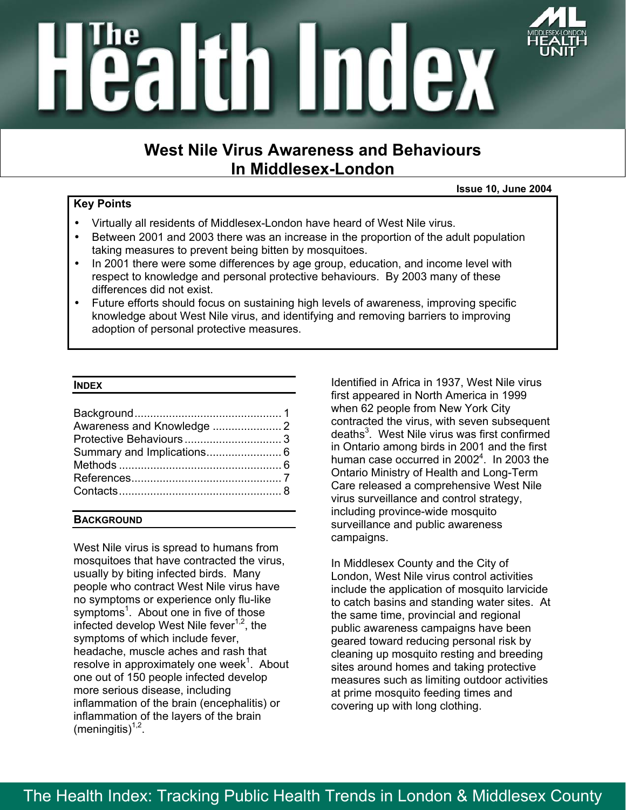

# altin Index

### **West Nile Virus Awareness and Behaviours In Middlesex-London**

#### **Key Points**

- **Issue 10, June 2004**
- Virtually all residents of Middlesex-London have heard of West Nile virus.
- Between 2001 and 2003 there was an increase in the proportion of the adult population taking measures to prevent being bitten by mosquitoes.
- In 2001 there were some differences by age group, education, and income level with respect to knowledge and personal protective behaviours. By 2003 many of these differences did not exist.
- Future efforts should focus on sustaining high levels of awareness, improving specific knowledge about West Nile virus, and identifying and removing barriers to improving adoption of personal protective measures.

#### **INDEX**

| Awareness and Knowledge  2 |  |
|----------------------------|--|
|                            |  |
|                            |  |
|                            |  |
|                            |  |
|                            |  |
|                            |  |

#### **BACKGROUND**

West Nile virus is spread to humans from mosquitoes that have contracted the virus, usually by biting infected birds. Many people who contract West Nile virus have no symptoms or experience only flu-like symptoms<sup>1</sup>. About one in five of those infected develop West Nile fever<sup> $1,2$ </sup>, the symptoms of which include fever, headache, muscle aches and rash that resolve in approximately one week $^1$ . About one out of 150 people infected develop more serious disease, including inflammation of the brain (encephalitis) or inflammation of the layers of the brain (meningitis) $1,2$ .

Identified in Africa in 1937, West Nile virus first appeared in North America in 1999 when 62 people from New York City contracted the virus, with seven subsequent deaths<sup>3</sup>. West Nile virus was first confirmed in Ontario among birds in 2001 and the first human case occurred in 2002<sup>4</sup>. In 2003 the Ontario Ministry of Health and Long-Term Care released a comprehensive West Nile virus surveillance and control strategy, including province-wide mosquito surveillance and public awareness campaigns.

In Middlesex County and the City of London, West Nile virus control activities include the application of mosquito larvicide to catch basins and standing water sites. At the same time, provincial and regional public awareness campaigns have been geared toward reducing personal risk by cleaning up mosquito resting and breeding sites around homes and taking protective measures such as limiting outdoor activities at prime mosquito feeding times and covering up with long clothing.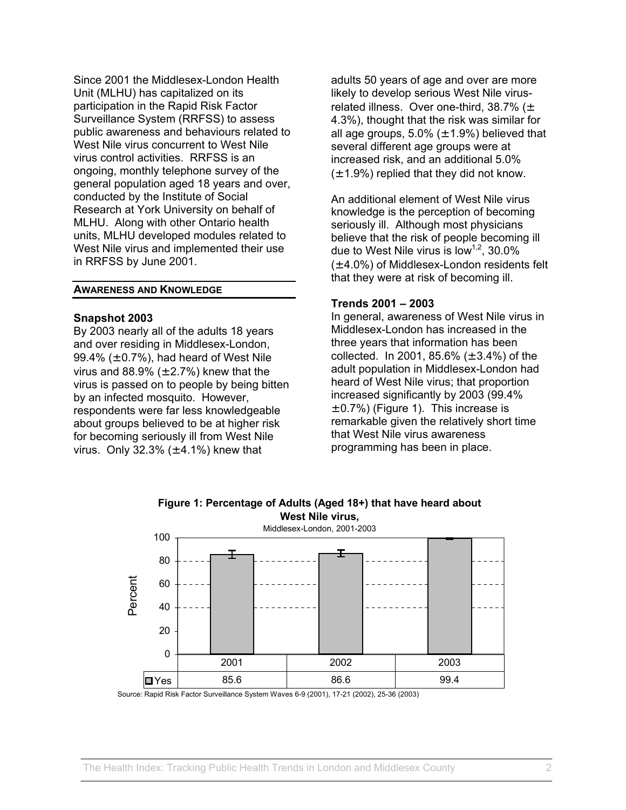Since 2001 the Middlesex-London Health Unit (MLHU) has capitalized on its participation in the Rapid Risk Factor Surveillance System (RRFSS) to assess public awareness and behaviours related to West Nile virus concurrent to West Nile virus control activities. RRFSS is an ongoing, monthly telephone survey of the general population aged 18 years and over, conducted by the Institute of Social Research at York University on behalf of MLHU. Along with other Ontario health units, MLHU developed modules related to West Nile virus and implemented their use in RRFSS by June 2001.

#### **AWARENESS AND KNOWLEDGE**

#### **Snapshot 2003**

By 2003 nearly all of the adults 18 years and over residing in Middlesex-London, 99.4%  $(\pm 0.7\%)$ , had heard of West Nile virus and 88.9%  $(\pm 2.7%)$  knew that the virus is passed on to people by being bitten by an infected mosquito. However, respondents were far less knowledgeable about groups believed to be at higher risk for becoming seriously ill from West Nile virus. Only 32.3%  $(\pm 4.1\%)$  knew that

adults 50 years of age and over are more likely to develop serious West Nile virusrelated illness. Over one-third,  $38.7\%$  ( $\pm$ 4.3%), thought that the risk was similar for all age groups,  $5.0\%$  ( $\pm$  1.9%) believed that several different age groups were at increased risk, and an additional 5.0%  $(\pm 1.9\%)$  replied that they did not know.

An additional element of West Nile virus knowledge is the perception of becoming seriously ill. Although most physicians believe that the risk of people becoming ill due to West Nile virus is low<sup>1,2</sup>, 30.0% (± 4.0%) of Middlesex-London residents felt that they were at risk of becoming ill.

#### **Trends 2001 – 2003**

In general, awareness of West Nile virus in Middlesex-London has increased in the three years that information has been collected. In 2001, 85.6%  $(\pm 3.4%)$  of the adult population in Middlesex-London had heard of West Nile virus; that proportion increased significantly by 2003 (99.4%  $\pm$  0.7%) (Figure 1). This increase is remarkable given the relatively short time that West Nile virus awareness programming has been in place.



**Figure 1: Percentage of Adults (Aged 18+) that have heard about West Nile virus,**

Source: Rapid Risk Factor Surveillance System Waves 6-9 (2001), 17-21 (2002), 25-36 (2003)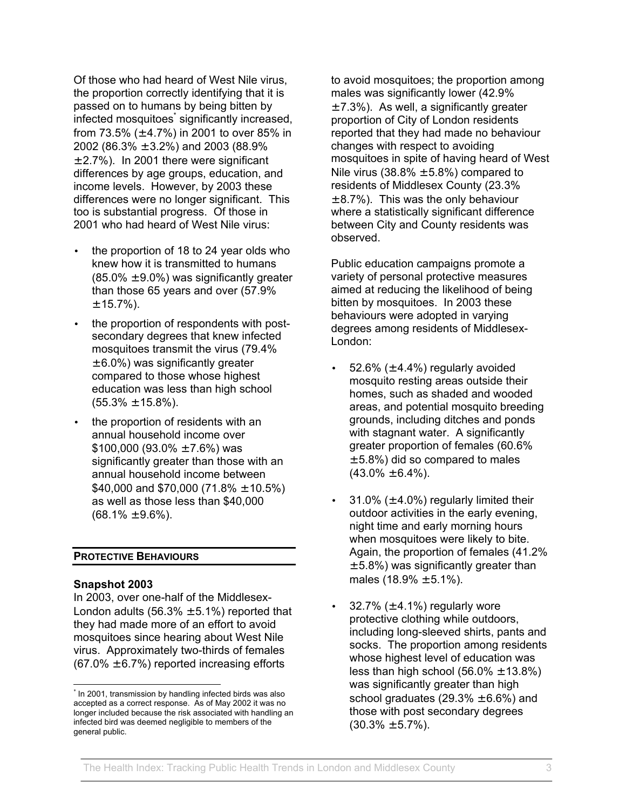Of those who had heard of West Nile virus, the proportion correctly identifying that it is passed on to humans by being bitten by .<br>infected mosquitoes significantly increased, from 73.5% ( $\pm$  4.7%) in 2001 to over 85% in 2002 (86.3% ± 3.2%) and 2003 (88.9%  $\pm$  2.7%). In 2001 there were significant differences by age groups, education, and income levels. However, by 2003 these differences were no longer significant. This too is substantial progress. Of those in 2001 who had heard of West Nile virus:

- the proportion of 18 to 24 year olds who knew how it is transmitted to humans  $(85.0\% \pm 9.0\%)$  was significantly greater than those 65 years and over (57.9%  $± 15.7%$ ).
- the proportion of respondents with postsecondary degrees that knew infected mosquitoes transmit the virus (79.4%  $\pm$  6.0%) was significantly greater compared to those whose highest education was less than high school  $(55.3\% \pm 15.8\%).$
- the proportion of residents with an annual household income over \$100,000 (93.0%  $\pm$  7.6%) was significantly greater than those with an annual household income between \$40,000 and \$70,000 (71.8%  $\pm$  10.5%) as well as those less than \$40,000  $(68.1\% \pm 9.6\%).$

#### **PROTECTIVE BEHAVIOURS**

#### **Snapshot 2003**

 $\overline{a}$ 

In 2003, over one-half of the Middlesex-London adults  $(56.3% \pm 5.1%)$  reported that they had made more of an effort to avoid mosquitoes since hearing about West Nile virus. Approximately two-thirds of females  $(67.0\% \pm 6.7\%)$  reported increasing efforts

to avoid mosquitoes; the proportion among males was significantly lower (42.9%  $\pm$  7.3%). As well, a significantly greater proportion of City of London residents reported that they had made no behaviour changes with respect to avoiding mosquitoes in spite of having heard of West Nile virus (38.8%  $\pm$  5.8%) compared to residents of Middlesex County (23.3%  $\pm$  8.7%). This was the only behaviour where a statistically significant difference between City and County residents was observed.

Public education campaigns promote a variety of personal protective measures aimed at reducing the likelihood of being bitten by mosquitoes. In 2003 these behaviours were adopted in varying degrees among residents of Middlesex-London:

- 52.6%  $(\pm 4.4\%)$  regularly avoided mosquito resting areas outside their homes, such as shaded and wooded areas, and potential mosquito breeding grounds, including ditches and ponds with stagnant water. A significantly greater proportion of females (60.6%  $\pm$  5.8%) did so compared to males  $(43.0\% \pm 6.4\%)$ .
- 31.0%  $(\pm 4.0\%)$  regularly limited their outdoor activities in the early evening, night time and early morning hours when mosquitoes were likely to bite. Again, the proportion of females (41.2%  $\pm$  5.8%) was significantly greater than males  $(18.9\% \pm 5.1\%).$
- 32.7%  $(\pm 4.1\%)$  regularly wore protective clothing while outdoors, including long-sleeved shirts, pants and socks. The proportion among residents whose highest level of education was less than high school  $(56.0\% \pm 13.8\%)$ was significantly greater than high school graduates  $(29.3\% \pm 6.6\%)$  and those with post secondary degrees  $(30.3\% \pm 5.7\%)$ .

<span id="page-2-0"></span><sup>\*</sup> In 2001, transmission by handling infected birds was also accepted as a correct response. As of May 2002 it was no longer included because the risk associated with handling an infected bird was deemed negligible to members of the general public.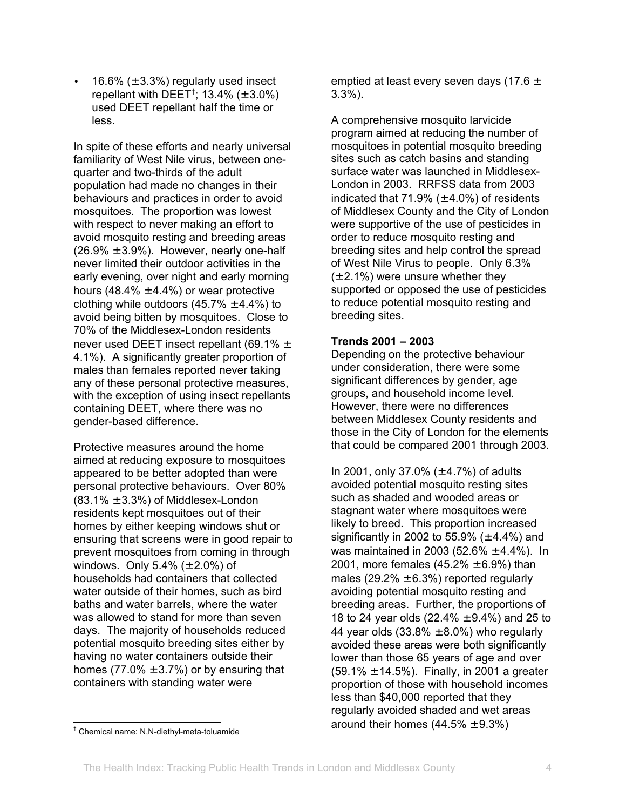16.6%  $(\pm 3.3\%)$  regularly used insect repellant with DEET<sup>[†](#page-3-0)</sup>; 13.4% ( $\pm$  3.0%) used DEET repellant half the time or less.

In spite of these efforts and nearly universal familiarity of West Nile virus, between onequarter and two-thirds of the adult population had made no changes in their behaviours and practices in order to avoid mosquitoes. The proportion was lowest with respect to never making an effort to avoid mosquito resting and breeding areas  $(26.9\% \pm 3.9\%)$ . However, nearly one-half never limited their outdoor activities in the early evening, over night and early morning hours (48.4%  $\pm$  4.4%) or wear protective clothing while outdoors  $(45.7\% \pm 4.4\%)$  to avoid being bitten by mosquitoes. Close to 70% of the Middlesex-London residents never used DEET insect repellant (69.1%  $\pm$ 4.1%). A significantly greater proportion of males than females reported never taking any of these personal protective measures, with the exception of using insect repellants containing DEET, where there was no gender-based difference.

Protective measures around the home aimed at reducing exposure to mosquitoes appeared to be better adopted than were personal protective behaviours. Over 80%  $(83.1\% \pm 3.3\%)$  of Middlesex-London residents kept mosquitoes out of their homes by either keeping windows shut or ensuring that screens were in good repair to prevent mosquitoes from coming in through windows. Only  $5.4\%$  ( $\pm 2.0\%$ ) of households had containers that collected water outside of their homes, such as bird baths and water barrels, where the water was allowed to stand for more than seven days. The majority of households reduced potential mosquito breeding sites either by having no water containers outside their homes (77.0%  $\pm$  3.7%) or by ensuring that containers with standing water were

emptied at least every seven days (17.6  $\pm$ 3.3%).

A comprehensive mosquito larvicide program aimed at reducing the number of mosquitoes in potential mosquito breeding sites such as catch basins and standing surface water was launched in Middlesex-London in 2003. RRFSS data from 2003 indicated that 71.9%  $(\pm 4.0\%)$  of residents of Middlesex County and the City of London were supportive of the use of pesticides in order to reduce mosquito resting and breeding sites and help control the spread of West Nile Virus to people. Only 6.3%  $(\pm 2.1\%)$  were unsure whether they supported or opposed the use of pesticides to reduce potential mosquito resting and breeding sites.

#### **Trends 2001 – 2003**

Depending on the protective behaviour under consideration, there were some significant differences by gender, age groups, and household income level. However, there were no differences between Middlesex County residents and those in the City of London for the elements that could be compared 2001 through 2003.

In 2001, only 37.0% ( $\pm$  4.7%) of adults avoided potential mosquito resting sites such as shaded and wooded areas or stagnant water where mosquitoes were likely to breed. This proportion increased significantly in 2002 to 55.9%  $(\pm 4.4\%)$  and was maintained in 2003 (52.6%  $\pm$  4.4%). In 2001, more females  $(45.2\% \pm 6.9\%)$  than males (29.2%  $\pm$  6.3%) reported regularly avoiding potential mosquito resting and breeding areas. Further, the proportions of 18 to 24 year olds  $(22.4\% \pm 9.4\%)$  and 25 to 44 year olds  $(33.8\% \pm 8.0\%)$  who regularly avoided these areas were both significantly lower than those 65 years of age and over  $(59.1\% \pm 14.5\%)$ . Finally, in 2001 a greater proportion of those with household incomes less than \$40,000 reported that they regularly avoided shaded and wet areas around their homes  $(44.5\% \pm 9.3\%)$ 

 $\overline{a}$ 

<span id="page-3-0"></span><sup>†</sup> Chemical name: N,N-diethyl-meta-toluamide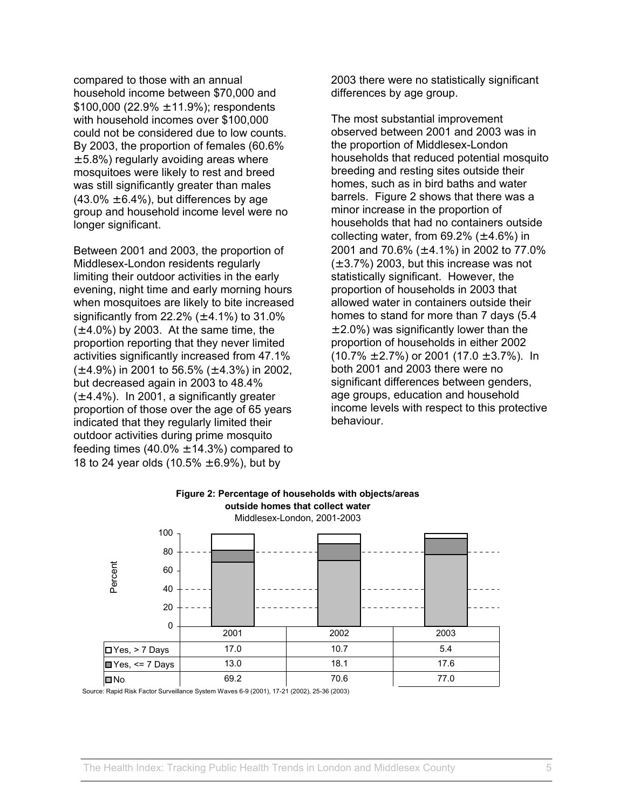compared to those with an annual household income between \$70,000 and \$100,000 (22.9%  $\pm$  11.9%); respondents with household incomes over \$100,000 could not be considered due to low counts. By 2003, the proportion of females (60.6%  $\pm$  5.8%) regularly avoiding areas where mosquitoes were likely to rest and breed was still significantly greater than males  $(43.0\% \pm 6.4\%)$ , but differences by age group and household income level were no longer significant.

Between 2001 and 2003, the proportion of Middlesex-London residents regularly limiting their outdoor activities in the early evening, night time and early morning hours when mosquitoes are likely to bite increased significantly from 22.2% ( $\pm$  4.1%) to 31.0%  $(\pm 4.0\%)$  by 2003. At the same time, the proportion reporting that they never limited activities significantly increased from 47.1%  $(\pm 4.9\%)$  in 2001 to 56.5% ( $\pm 4.3\%$ ) in 2002, but decreased again in 2003 to 48.4%  $(\pm 4.4\%)$ . In 2001, a significantly greater proportion of those over the age of 65 years indicated that they regularly limited their outdoor activities during prime mosquito feeding times  $(40.0\% \pm 14.3\%)$  compared to 18 to 24 year olds  $(10.5\% \pm 6.9\%)$ , but by

2003 there were no statistically significant differences by age group.

The most substantial improvement observed between 2001 and 2003 was in the proportion of Middlesex-London households that reduced potential mosquito breeding and resting sites outside their homes, such as in bird baths and water barrels. Figure 2 shows that there was a minor increase in the proportion of households that had no containers outside collecting water, from  $69.2\%$  ( $\pm$  4.6%) in 2001 and 70.6% (± 4.1%) in 2002 to 77.0%  $(\pm 3.7\%)$  2003, but this increase was not statistically significant. However, the proportion of households in 2003 that allowed water in containers outside their homes to stand for more than 7 days (5.4  $\pm$  2.0%) was significantly lower than the proportion of households in either 2002  $(10.7\% \pm 2.7\%)$  or 2001  $(17.0 \pm 3.7\%)$ . In both 2001 and 2003 there were no significant differences between genders, age groups, education and household income levels with respect to this protective behaviour.



## **Figure 2: Percentage of households with objects/areas**

Source: Rapid Risk Factor Surveillance System Waves 6-9 (2001), 17-21 (2002), 25-36 (2003)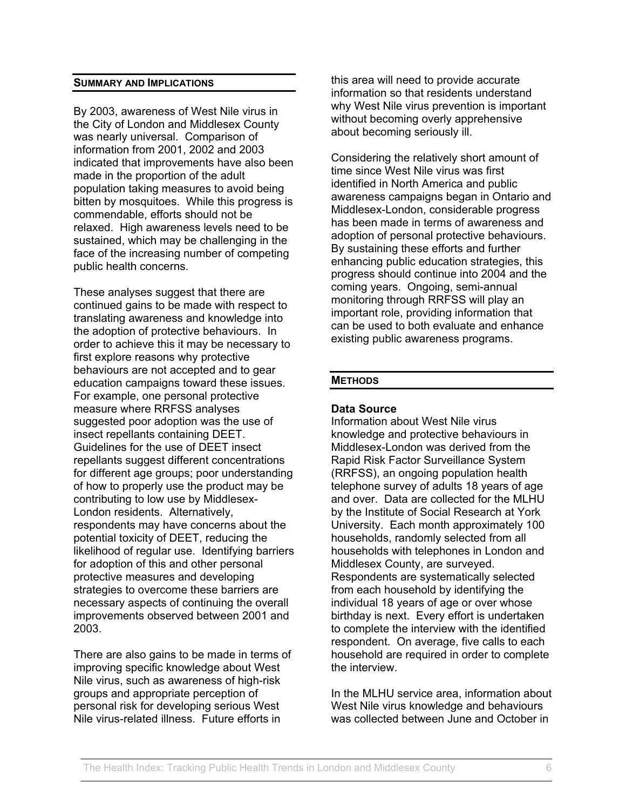#### **SUMMARY AND IMPLICATIONS**

By 2003, awareness of West Nile virus in the City of London and Middlesex County was nearly universal. Comparison of information from 2001, 2002 and 2003 indicated that improvements have also been made in the proportion of the adult population taking measures to avoid being bitten by mosquitoes. While this progress is commendable, efforts should not be relaxed. High awareness levels need to be sustained, which may be challenging in the face of the increasing number of competing public health concerns.

These analyses suggest that there are continued gains to be made with respect to translating awareness and knowledge into the adoption of protective behaviours. In order to achieve this it may be necessary to first explore reasons why protective behaviours are not accepted and to gear education campaigns toward these issues. For example, one personal protective measure where RRFSS analyses suggested poor adoption was the use of insect repellants containing DEET. Guidelines for the use of DEET insect repellants suggest different concentrations for different age groups; poor understanding of how to properly use the product may be contributing to low use by Middlesex-London residents. Alternatively, respondents may have concerns about the potential toxicity of DEET, reducing the likelihood of regular use. Identifying barriers for adoption of this and other personal protective measures and developing strategies to overcome these barriers are necessary aspects of continuing the overall improvements observed between 2001 and 2003.

There are also gains to be made in terms of improving specific knowledge about West Nile virus, such as awareness of high-risk groups and appropriate perception of personal risk for developing serious West Nile virus-related illness. Future efforts in

this area will need to provide accurate information so that residents understand why West Nile virus prevention is important without becoming overly apprehensive about becoming seriously ill.

Considering the relatively short amount of time since West Nile virus was first identified in North America and public awareness campaigns began in Ontario and Middlesex-London, considerable progress has been made in terms of awareness and adoption of personal protective behaviours. By sustaining these efforts and further enhancing public education strategies, this progress should continue into 2004 and the coming years. Ongoing, semi-annual monitoring through RRFSS will play an important role, providing information that can be used to both evaluate and enhance existing public awareness programs.

#### **METHODS**

#### **Data Source**

Information about West Nile virus knowledge and protective behaviours in Middlesex-London was derived from the Rapid Risk Factor Surveillance System (RRFSS), an ongoing population health telephone survey of adults 18 years of age and over. Data are collected for the MLHU by the Institute of Social Research at York University. Each month approximately 100 households, randomly selected from all households with telephones in London and Middlesex County, are surveyed. Respondents are systematically selected from each household by identifying the individual 18 years of age or over whose birthday is next. Every effort is undertaken to complete the interview with the identified respondent. On average, five calls to each household are required in order to complete the interview.

In the MLHU service area, information about West Nile virus knowledge and behaviours was collected between June and October in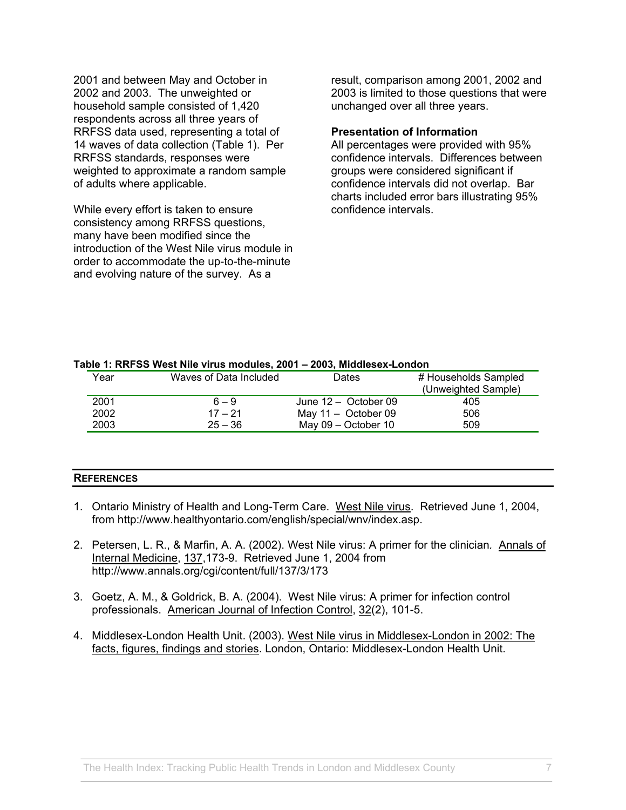2001 and between May and October in 2002 and 2003. The unweighted or household sample consisted of 1,420 respondents across all three years of RRFSS data used, representing a total of 14 waves of data collection (Table 1). Per RRFSS standards, responses were weighted to approximate a random sample of adults where applicable.

While every effort is taken to ensure consistency among RRFSS questions, many have been modified since the introduction of the West Nile virus module in order to accommodate the up-to-the-minute and evolving nature of the survey. As a

result, comparison among 2001, 2002 and 2003 is limited to those questions that were unchanged over all three years.

#### **Presentation of Information**

All percentages were provided with 95% confidence intervals. Differences between groups were considered significant if confidence intervals did not overlap. Bar charts included error bars illustrating 95% confidence intervals.

#### **Table 1: RRFSS West Nile virus modules, 2001 – 2003, Middlesex-London**

| Year | Waves of Data Included | Dates                  | # Households Sampled |
|------|------------------------|------------------------|----------------------|
|      |                        |                        | (Unweighted Sample)  |
| 2001 | $6 - 9$                | June $12 -$ October 09 | 405                  |
| 2002 | $17 - 21$              | May $11 -$ October 09  | 506                  |
| 2003 | $25 - 36$              | May 09 - October 10    | 509                  |

#### **REFERENCES**

- 1. Ontario Ministry of Health and Long-Term Care. West Nile virus. Retrieved June 1, 2004, from http://www.healthyontario.com/english/special/wnv/index.asp.
- 2. Petersen, L. R., & Marfin, A. A. (2002). West Nile virus: A primer for the clinician*.* Annals of Internal Medicine, 137,173-9. Retrieved June 1, 2004 from http://www.annals.org/cgi/content/full/137/3/173
- 3. Goetz, A. M., & Goldrick, B. A. (2004). West Nile virus: A primer for infection control professionals. American Journal of Infection Control, 32(2), 101-5.
- 4. Middlesex-London Health Unit. (2003). West Nile virus in Middlesex-London in 2002: The facts, figures, findings and stories. London, Ontario: Middlesex-London Health Unit.